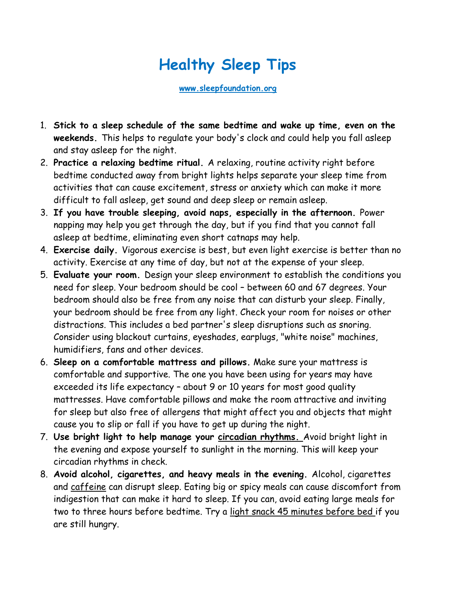## **Healthy Sleep Tips**

**[www.sleepfoundation.org](http://www.sleepfoundation.org/)**

- 1. **[Stick to a sleep schedule](https://sleep.org/articles/get-sleep-schedule/) of the same bedtime and wake up time, even on the weekends.** This helps to regulate your body's clock and could help you fall asleep and stay asleep for the night.
- 2. **Practice a [relaxing bedtime ritual.](https://sleep.org/articles/learning-relax/)** A relaxing, routine activity right before bedtime conducted away from bright lights helps separate your sleep time from activities that can cause excitement, stress or anxiety which can make it more difficult to fall asleep, get sound and deep sleep or remain asleep.
- 3. **If you have trouble sleeping, avoid naps, especially in the afternoon.** [Power](https://sleep.org/articles/napping-health-benefits/)  [napping may help you get through the day,](https://sleep.org/articles/napping-health-benefits/) but if you find that you cannot fall asleep at bedtime, eliminating even short catnaps may help.
- 4. **[Exercise daily.](https://sleep.org/articles/exercise-affects-sleep/)** Vigorous exercise is best, but even light exercise is better than no activity. Exercise at any time of day, but not at the expense of your sleep.
- 5. **[Evaluate your room.](https://sleep.org/articles/design-the-perfect-bedroom/)** Design your sleep environment to establish the conditions you need for sleep. Your bedroom should be cool – [between 60 and 67 degrees.](https://sleep.org/articles/temperature-for-sleep/) Your bedroom should also be free from any noise that can disturb your sleep. Finally, your bedroom should be free from any light. Check your room for noises or other distractions. This includes a bed partner's sleep disruptions such as snoring. Consider using blackout curtains, eyeshades, earplugs, "white noise" machines, humidifiers, fans and other devices.
- 6. **Sleep on a comfortable [mattress](https://sleep.org/tag/beds/) and [pillows.](https://sleep.org/tag/pillows/)** Make sure your mattress is comfortable and supportive. The one you have been using for years may have exceeded its life expectancy – about 9 or 10 years for most good quality mattresses. Have comfortable pillows and make the room attractive and inviting for sleep but also free of [allergens](https://sleep.org/articles/household-allergens-that-could-be-affecting-your-sleep/) that might affect you and objects that might cause you to slip or fall if you have to get up during the night.
- 7. **Use bright light to help manage your [circadian rhythms.](https://sleep.org/articles/circadian-rhythm-body-clock/)** Avoid bright light in the evening and expose yourself to sunlight in the morning. This will keep your circadian rhythms in check.
- 8. **Avoid alcohol, cigarettes, and heavy meals in the evening.** Alcohol, cigarettes and [caffeine](https://sleep.org/articles/what-does-caffeine-do-2/) can disrupt sleep. Eating big or spicy meals can cause discomfort from indigestion that can make it hard to sleep. If you can, avoid eating large meals for two to three hours before bedtime. Try a [light snack 45 minutes before bed](https://sleep.org/articles/bedtime-snacks/) if you are still hungry.